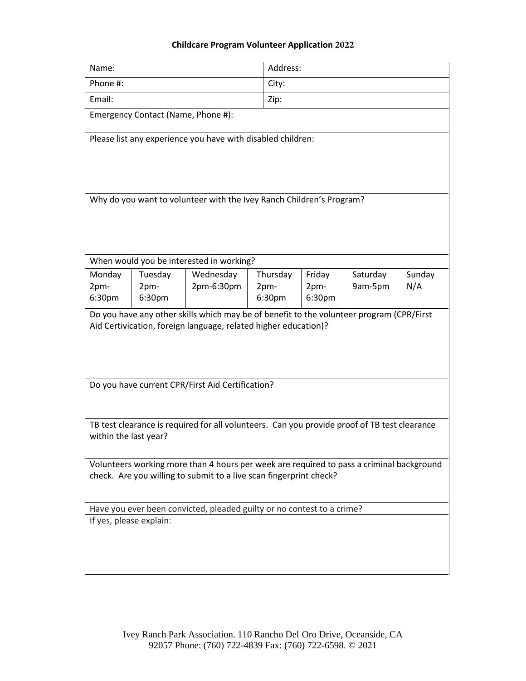## **Childcare Program Volunteer Application 2022**

| Name:                                                                                                                                                                                                           |                           |                                          |                            | Address:                 |                     |               |  |
|-----------------------------------------------------------------------------------------------------------------------------------------------------------------------------------------------------------------|---------------------------|------------------------------------------|----------------------------|--------------------------|---------------------|---------------|--|
| Phone #:                                                                                                                                                                                                        |                           | City:                                    |                            |                          |                     |               |  |
| Email:                                                                                                                                                                                                          |                           | Zip:                                     |                            |                          |                     |               |  |
| Emergency Contact (Name, Phone #):                                                                                                                                                                              |                           |                                          |                            |                          |                     |               |  |
| Please list any experience you have with disabled children:                                                                                                                                                     |                           |                                          |                            |                          |                     |               |  |
| Why do you want to volunteer with the Ivey Ranch Children's Program?                                                                                                                                            |                           |                                          |                            |                          |                     |               |  |
|                                                                                                                                                                                                                 |                           | When would you be interested in working? |                            |                          |                     |               |  |
| Monday<br>2pm-<br>6:30pm                                                                                                                                                                                        | Tuesday<br>2pm-<br>6:30pm | Wednesday<br>2pm-6:30pm                  | Thursday<br>2pm-<br>6:30pm | Friday<br>2pm-<br>6:30pm | Saturday<br>9am-5pm | Sunday<br>N/A |  |
| Do you have any other skills which may be of benefit to the volunteer program (CPR/First<br>Aid Certivication, foreign language, related higher education)?<br>Do you have current CPR/First Aid Certification? |                           |                                          |                            |                          |                     |               |  |
|                                                                                                                                                                                                                 |                           |                                          |                            |                          |                     |               |  |
| TB test clearance is required for all volunteers. Can you provide proof of TB test clearance<br>within the last year?                                                                                           |                           |                                          |                            |                          |                     |               |  |
| Volunteers working more than 4 hours per week are required to pass a criminal background<br>check. Are you willing to submit to a live scan fingerprint check?                                                  |                           |                                          |                            |                          |                     |               |  |
| Have you ever been convicted, pleaded guilty or no contest to a crime?                                                                                                                                          |                           |                                          |                            |                          |                     |               |  |
| If yes, please explain:                                                                                                                                                                                         |                           |                                          |                            |                          |                     |               |  |